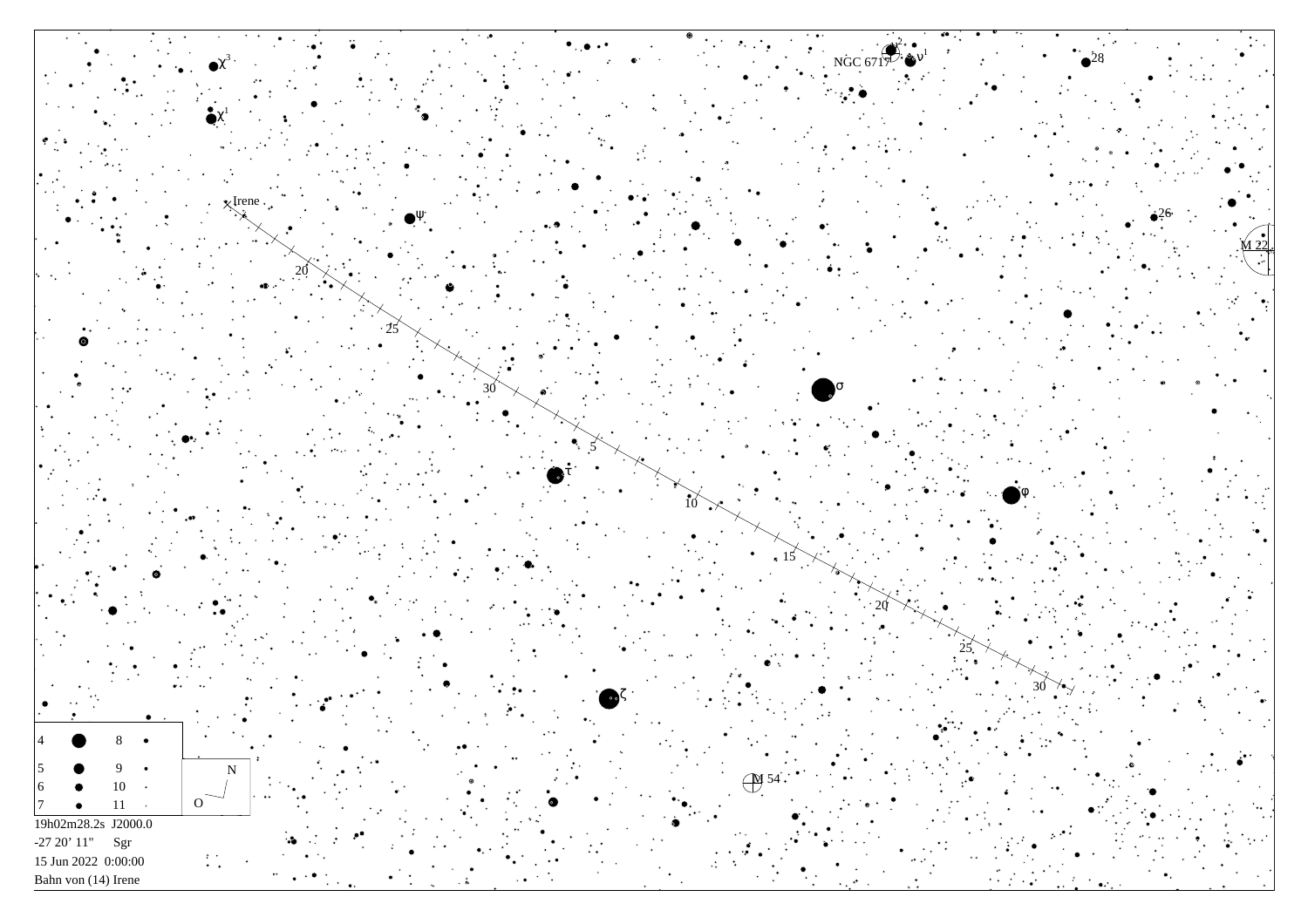